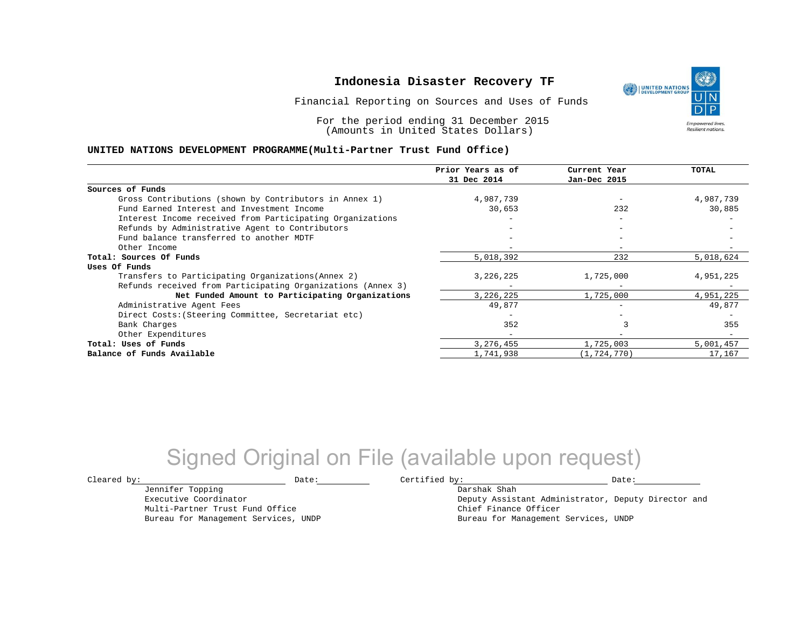Financial Reporting on Sources and Uses of Funds

For the period ending 31 December 2015 (Amounts in United States Dollars)

#### **UNITED NATIONS DEVELOPMENT PROGRAMME(Multi-Partner Trust Fund Office)**

|                                                             | Prior Years as of | Current Year             | TOTAL     |
|-------------------------------------------------------------|-------------------|--------------------------|-----------|
|                                                             | 31 Dec 2014       | Jan-Dec 2015             |           |
| Sources of Funds                                            |                   |                          |           |
| Gross Contributions (shown by Contributors in Annex 1)      | 4,987,739         |                          | 4,987,739 |
| Fund Earned Interest and Investment Income                  | 30,653            | 232                      | 30,885    |
| Interest Income received from Participating Organizations   |                   | $\overline{\phantom{0}}$ |           |
| Refunds by Administrative Agent to Contributors             |                   | $\overline{\phantom{m}}$ |           |
| Fund balance transferred to another MDTF                    |                   |                          |           |
| Other Income                                                |                   |                          |           |
| Total: Sources Of Funds                                     | 5,018,392         | 232                      | 5,018,624 |
| Uses Of Funds                                               |                   |                          |           |
| Transfers to Participating Organizations (Annex 2)          | 3,226,225         | 1,725,000                | 4,951,225 |
| Refunds received from Participating Organizations (Annex 3) |                   |                          |           |
| Net Funded Amount to Participating Organizations            | 3,226,225         | 1,725,000                | 4,951,225 |
| Administrative Agent Fees                                   | 49,877            |                          | 49,877    |
| Direct Costs: (Steering Committee, Secretariat etc)         |                   |                          |           |
| Bank Charges                                                | 352               |                          | 355       |
| Other Expenditures                                          |                   |                          |           |
| Total: Uses of Funds                                        | 3,276,455         | 1,725,003                | 5,001,457 |
| Balance of Funds Available                                  | 1,741,938         | (1, 724, 770)            | 17,167    |

## Signed Original on File (available upon request)

Jennifer Topping Executive Coordinator Multi-Partner Trust Fund Office Bureau for Management Services, UNDP

 $\texttt{Cleared by:}\footnotesize \begin{minipage}{0.9\linewidth} \texttt{Date:}\footnotesize \begin{minipage}{0.9\linewidth} \texttt{Date:}\footnotesize \begin{minipage}{0.9\linewidth} \end{minipage} \end{minipage}$ 

Darshak Shah Deputy Assistant Administrator, Deputy Director and Chief Finance Officer Bureau for Management Services, UNDP

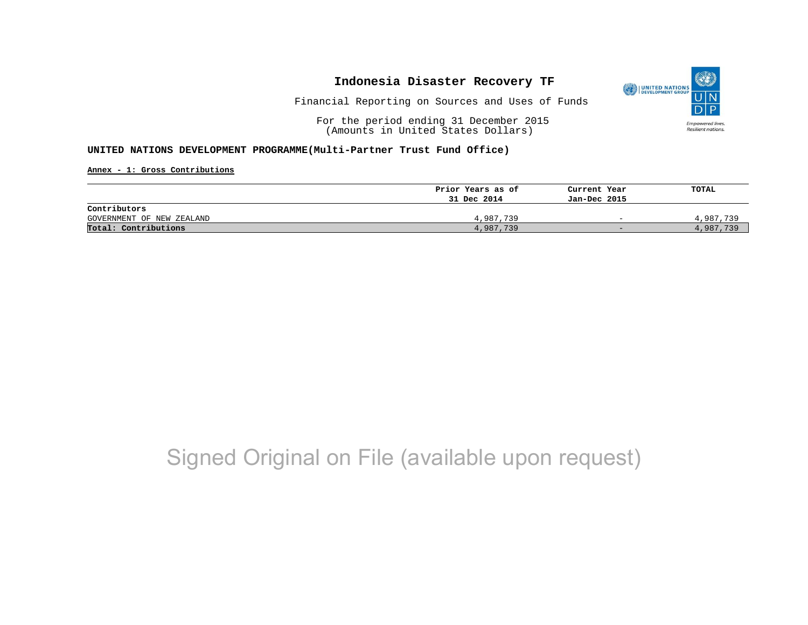

Financial Reporting on Sources and Uses of Funds

For the period ending 31 December 2015 (Amounts in United States Dollars)

#### **UNITED NATIONS DEVELOPMENT PROGRAMME(Multi-Partner Trust Fund Office)**

**Annex - 1: Gross Contributions**

|                           | Prior Years as of | Current Year             | TOTAL     |
|---------------------------|-------------------|--------------------------|-----------|
|                           | 31 Dec 2014       | Jan-Dec 2015             |           |
| Contributors              |                   |                          |           |
| GOVERNMENT OF NEW ZEALAND | 4,987,739         | $\overline{\phantom{0}}$ | 4,987,739 |
| Total: Contributions      | 4,987,739         | $-$                      | 4,987,739 |

## Signed Original on File (available upon request)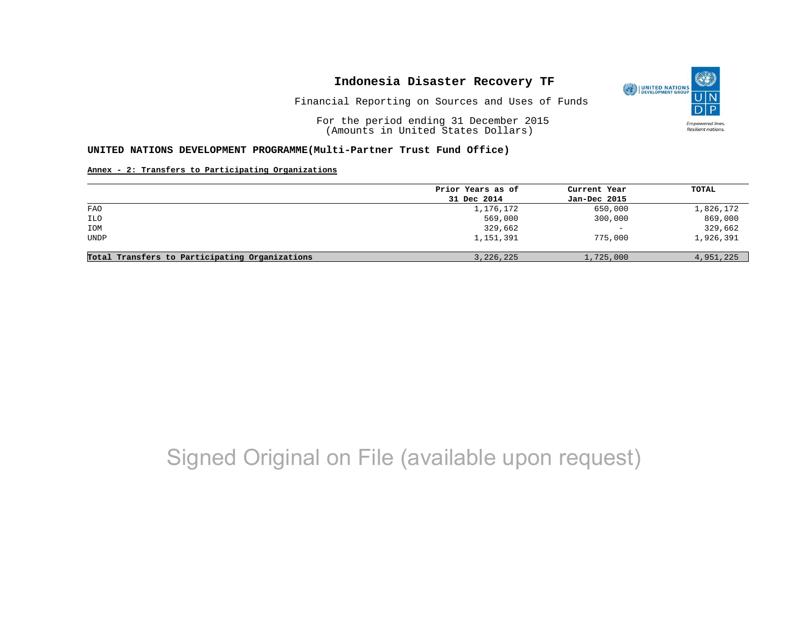

Financial Reporting on Sources and Uses of Funds

For the period ending 31 December 2015 (Amounts in United States Dollars)

#### **UNITED NATIONS DEVELOPMENT PROGRAMME(Multi-Partner Trust Fund Office)**

#### **Annex - 2: Transfers to Participating Organizations**

|                                                | Prior Years as of | Current Year      | TOTAL     |
|------------------------------------------------|-------------------|-------------------|-----------|
|                                                | 31 Dec 2014       | Jan-Dec 2015      |           |
| FAO                                            | 1,176,172         | 650,000           | 1,826,172 |
| <b>ILO</b>                                     | 569,000           | 300,000           | 869,000   |
| IOM                                            | 329,662           | $\qquad \qquad -$ | 329,662   |
| <b>UNDP</b>                                    | 1,151,391         | 775,000           | 1,926,391 |
| Total Transfers to Participating Organizations | 3, 226, 225       | 1,725,000         | 4,951,225 |

# Signed Original on File (available upon request)